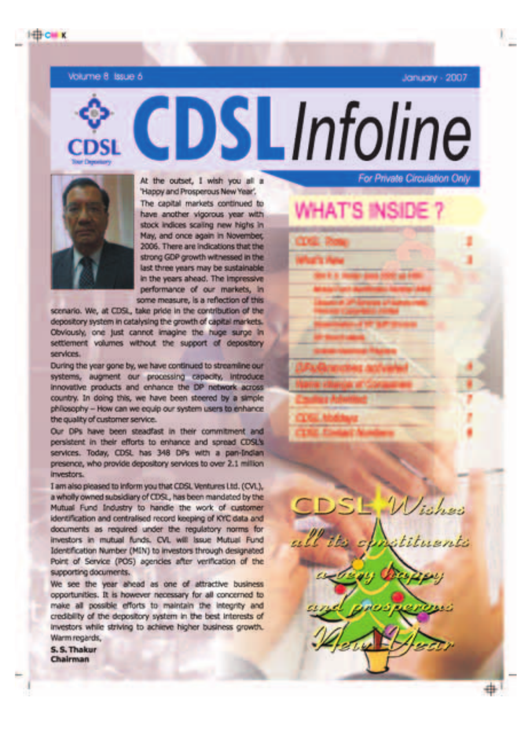Volume 8 Issue 6

**HEGH** K

January - 2007

At the outset. I wish you all a "Happy and Prosperous New Year", The capital markets continued to have another vigorous year with stock indices scaling new highs in May, and once again in November. 2006. There are indications that the strong GDP growth witnessed in the last three waars may be sustainable. in the years ahead. The impressive performance of our markets, in some measure, is a reflection of this

**CDSLInfoline** 

scenario. We, at CDSL, take pride in the contribution of the depository system in catalysing the growth of capital markets. Obviously, one just cannot imagine the huge surge in settlement volumes without the support of depository services.

During the year gone by, we have continued to streamline our systems, augment our processing capacity, introduce innovative products and enhance the DP network across country. In doing this, we have been steered by a simple philosophy -- How can we equip our system users to enhance the quality of customer service.

Our DPs have been steadfast in their commitment and persistent in their efforts to enhance and spread CDSL's services. Today, CDSL has 348 DPs with a pan-Indian presence, who provide depository services to over 2.1 million investors.

I am also pleased to inform you that CDSL Ventures Ltd. (CVL), a wholly owned subsidiary of CDSL, has been mandated by the Mutual Fund Industry to handle the work of customer identification and centralised record keeping of KYC data and documents as required under the regulatory norms for investors in mutual funds. CVL will issue Mutual Fund Identification Number (MIN) to investors through designated Point of Service (POS) agencies after verification of the supporting documents.

We see the year ahead as one of attractive business opportunities. It is however necessary for all concerned to make all possible efforts to maintain the integrity and credibility of the depository system in the best interests of investors while striving to achieve higher business growth. Warm regards.

S. S. Thakur Chairman

For Private Circulation Only

Wishes

÷.

**WHAT'S INSID**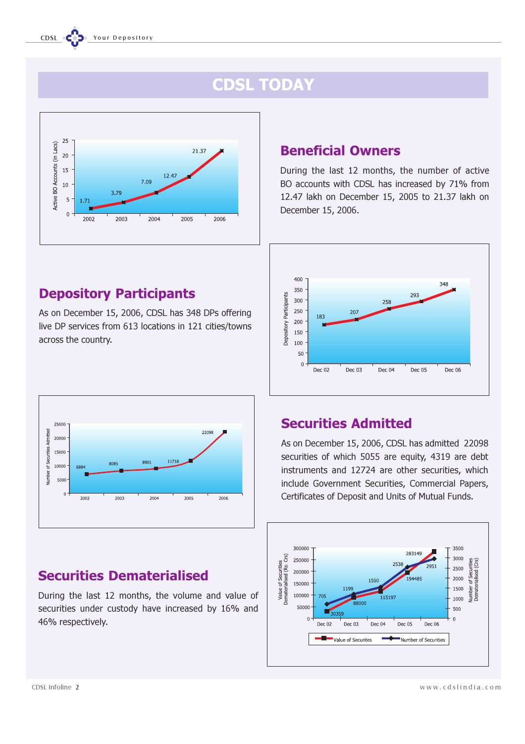# CDSL TODAY



## Depository Participants

As on December 15, 2006, CDSL has 348 DPs offering live DP services from 613 locations in 121 cities/towns across the country.

#### 2500 Admitted 22098 20000 **Irities** 15000 umher of Seci 1171 8901 8085 10000 5000  $\overline{2002}$ 2003 2004 2005 2006

# Securities Dematerialised

During the last 12 months, the volume and value of securities under custody have increased by 16% and 46% respectively.

## Beneficial Owners

During the last 12 months, the number of active BO accounts with CDSL has increased by 71% from 12.47 lakh on December 15, 2005 to 21.37 lakh on December 15, 2006.



## Securities Admitted

As on December 15, 2006, CDSL has admitted 22098 securities of which 5055 are equity, 4319 are debt instruments and 12724 are other securities, which include Government Securities, Commercial Papers, Certificates of Deposit and Units of Mutual Funds.

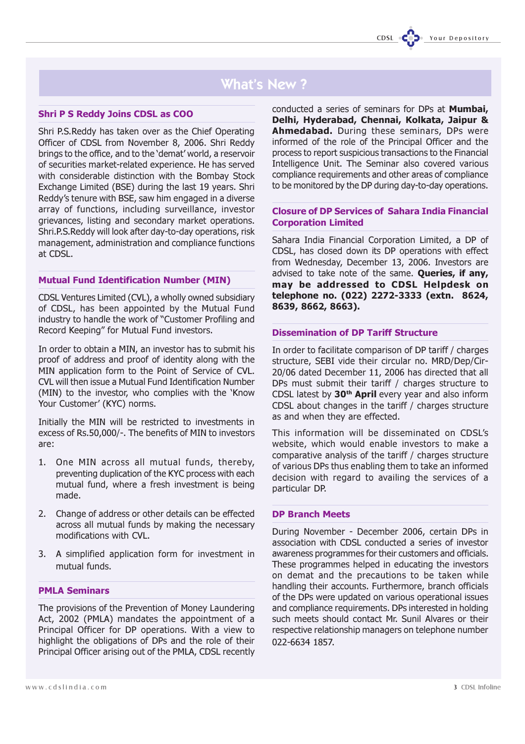## What's New ?

## Shri P S Reddy Joins CDSL as COO

Shri P.S.Reddy has taken over as the Chief Operating Officer of CDSL from November 8, 2006. Shri Reddy brings to the office, and to the 'demat' world, a reservoir of securities market-related experience. He has served with considerable distinction with the Bombay Stock Exchange Limited (BSE) during the last 19 years. Shri Reddy's tenure with BSE, saw him engaged in a diverse array of functions, including surveillance, investor grievances, listing and secondary market operations. Shri.P.S.Reddy will look after day-to-day operations, risk management, administration and compliance functions at CDSL.

## Mutual Fund Identification Number (MIN)

CDSL Ventures Limited (CVL), a wholly owned subsidiary of CDSL, has been appointed by the Mutual Fund industry to handle the work of "Customer Profiling and Record Keeping" for Mutual Fund investors.

In order to obtain a MIN, an investor has to submit his proof of address and proof of identity along with the MIN application form to the Point of Service of CVL. CVL will then issue a Mutual Fund Identification Number (MIN) to the investor, who complies with the 'Know Your Customer' (KYC) norms.

Initially the MIN will be restricted to investments in excess of Rs.50,000/-. The benefits of MIN to investors are:

- 1. One MIN across all mutual funds, thereby, preventing duplication of the KYC process with each mutual fund, where a fresh investment is being made.
- 2. Change of address or other details can be effected across all mutual funds by making the necessary modifications with CVL.
- 3. A simplified application form for investment in mutual funds.

## PMLA Seminars

The provisions of the Prevention of Money Laundering Act, 2002 (PMLA) mandates the appointment of a Principal Officer for DP operations. With a view to highlight the obligations of DPs and the role of their Principal Officer arising out of the PMLA, CDSL recently conducted a series of seminars for DPs at Mumbai, Delhi, Hyderabad, Chennai, Kolkata, Jaipur & Ahmedabad. During these seminars, DPs were informed of the role of the Principal Officer and the process to report suspicious transactions to the Financial Intelligence Unit. The Seminar also covered various compliance requirements and other areas of compliance to be monitored by the DP during day-to-day operations.

## Closure of DP Services of Sahara India Financial Corporation Limited

Sahara India Financial Corporation Limited, a DP of CDSL, has closed down its DP operations with effect from Wednesday, December 13, 2006. Investors are advised to take note of the same. Queries, if any, may be addressed to CDSL Helpdesk on telephone no. (022) 2272-3333 (extn. 8624, 8639, 8662, 8663).

### Dissemination of DP Tariff Structure

In order to facilitate comparison of DP tariff / charges structure, SEBI vide their circular no. MRD/Dep/Cir-20/06 dated December 11, 2006 has directed that all DPs must submit their tariff / charges structure to CDSL latest by  $30<sup>th</sup>$  April every year and also inform CDSL about changes in the tariff / charges structure as and when they are effected.

This information will be disseminated on CDSL's website, which would enable investors to make a comparative analysis of the tariff / charges structure of various DPs thus enabling them to take an informed decision with regard to availing the services of a particular DP.

## DP Branch Meets

During November - December 2006, certain DPs in association with CDSL conducted a series of investor awareness programmes for their customers and officials. These programmes helped in educating the investors on demat and the precautions to be taken while handling their accounts. Furthermore, branch officials of the DPs were updated on various operational issues and compliance requirements. DPs interested in holding such meets should contact Mr. Sunil Alvares or their respective relationship managers on telephone number 022-6634 1857.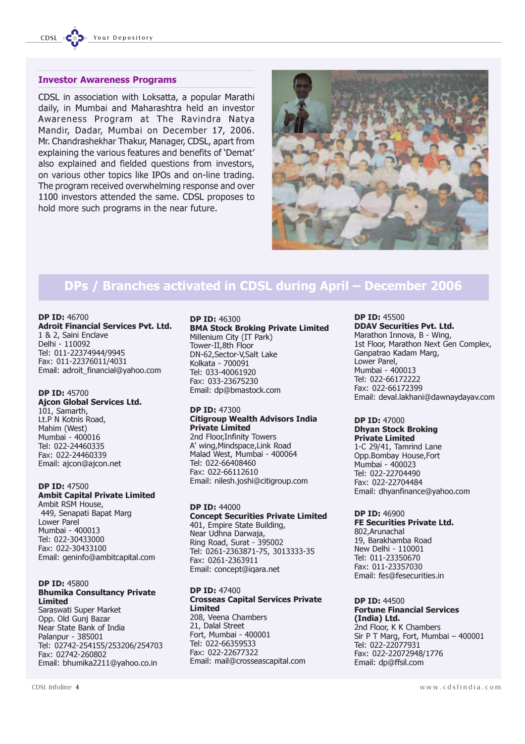#### Investor Awareness Programs

CDSL in association with Loksatta, a popular Marathi daily, in Mumbai and Maharashtra held an investor Awareness Program at The Ravindra Natya Mandir, Dadar, Mumbai on December 17, 2006. Mr. Chandrashekhar Thakur, Manager, CDSL, apart from explaining the various features and benefits of 'Demat' also explained and fielded questions from investors, on various other topics like IPOs and on-line trading. The program received overwhelming response and over 1100 investors attended the same. CDSL proposes to hold more such programs in the near future.



## DPs / Branches activated in CDSL during April – December 2006

#### DP ID: 46700 Adroit Financial Services Pvt. Ltd.

1 & 2, Saini Enclave Delhi - 110092 Tel: 011-22374944/9945 Fax: 011-22376011/4031 Email: adroit\_financial@yahoo.com

### DP ID: 45700

Ajcon Global Services Ltd. 101, Samarth, Lt.P N Kotnis Road, Mahim (West) Mumbai - 400016 Tel: 022-24460335 Fax: 022-24460339 Email: ajcon@ajcon.net

### DP ID: 47500 Ambit Capital Private Limited

Ambit RSM House, 449, Senapati Bapat Marg Lower Parel Mumbai - 400013 Tel: 022-30433000 Fax: 022-30433100 Email: geninfo@ambitcapital.com

#### DP ID: 45800 Bhumika Consultancy Private Limited

Saraswati Super Market Opp. Old Gunj Bazar Near State Bank of India Palanpur - 385001 Tel: 02742-254155/253206/254703 Fax: 02742-260802 Email: bhumika2211@yahoo.co.in

## DP ID: 46300

BMA Stock Broking Private Limited Millenium City (IT Park) Tower-II,8th Floor DN-62,Sector-V,Salt Lake Kolkata - 700091 Tel: 033-40061920 Fax: 033-23675230 Email: dp@bmastock.com

#### DP ID: 47300 Citigroup Wealth Advisors India Private Limited 2nd Floor,Infinity Towers

A' wing,Mindspace,Link Road Malad West, Mumbai - 400064 Tel: 022-66408460 Fax: 022-66112610 Email: nilesh.joshi@citigroup.com

## DP ID: 44000

Concept Securities Private Limited 401, Empire State Building, Near Udhna Darwaja, Ring Road, Surat - 395002 Tel: 0261-2363871-75, 3013333-35 Fax: 0261-2363911 Email: concept@iqara.net

#### DP ID: 47400 Crosseas Capital Services Private Limited 208, Veena Chambers 21, Dalal Street Fort, Mumbai - 400001

Tel: 022-66359533 Fax: 022-22677322 Email: mail@crosseascapital.com

#### DP ID: 45500 DDAV Securities Pvt. Ltd.

Marathon Innova, B - Wing, 1st Floor, Marathon Next Gen Complex, Ganpatrao Kadam Marg, Lower Parel, Mumbai - 400013 Tel: 022-66172222 Fax: 022-66172399 Email: deval.lakhani@dawnaydayav.com

#### DP ID: 47000 Dhyan Stock Broking Private Limited

1-C 29/41, Tamrind Lane Opp.Bombay House,Fort Mumbai - 400023 Tel: 022-22704490 Fax: 022-22704484 Email: dhyanfinance@yahoo.com

## DP ID: 46900

FE Securities Private Ltd. 802,Arunachal 19, Barakhamba Road New Delhi - 110001 Tel: 011-23350670 Fax: 011-23357030 Email: fes@fesecurities.in

DP ID: 44500 Fortune Financial Services (India) Ltd. 2nd Floor, K K Chambers Sir P T Marg, Fort, Mumbai – 400001 Tel: 022-22077931 Fax: 022-22072948/1776 Email: dp@ffsil.com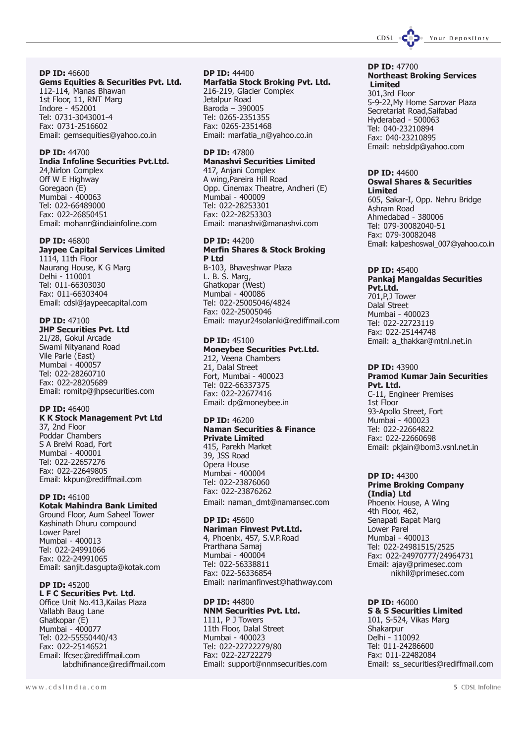

DP ID: 46600 Gems Equities & Securities Pvt. Ltd. 112-114, Manas Bhawan 1st Floor, 11, RNT Marg Indore - 452001 Tel: 0731-3043001-4 Fax: 0731-2516602 Email: gemsequities@yahoo.co.in

### DP ID: 44700

## India Infoline Securities Pvt.Ltd.

24,Nirlon Complex Off W E Highway Goregaon (E) Mumbai - 400063 Tel: 022-66489000 Fax: 022-26850451 Email: mohanr@indiainfoline.com

#### DP ID: 46800

## Jaypee Capital Services Limited

1114, 11th Floor Naurang House, K G Marg Delhi - 110001 Tel: 011-66303030 Fax: 011-66303404 Email: cdsl@jaypeecapital.com

## DP ID: 47100

JHP Securities Pvt. Ltd 21/28, Gokul Arcade Swami Nityanand Road Vile Parle (East) Mumbai - 400057 Tel: 022-28260710 Fax: 022-28205689 Email: romitp@jhpsecurities.com

#### DP ID: 46400

#### K K Stock Management Pvt Ltd 37, 2nd Floor Poddar Chambers

S A Brelvi Road, Fort Mumbai - 400001 Tel: 022-22657276 Fax: 022-22649805 Email: kkpun@rediffmail.com

#### DP ID: 46100

Kotak Mahindra Bank Limited Ground Floor, Aum Saheel Tower Kashinath Dhuru compound Lower Parel Mumbai - 400013 Tel: 022-24991066 Fax: 022-24991065 Email: sanjit.dasgupta@kotak.com

#### DP **ID: 45200**

L F C Securities Pvt. Ltd. Office Unit No.413,Kailas Plaza Vallabh Baug Lane Ghatkopar (E) Mumbai - 400077 Tel: 022-55550440/43 Fax: 022-25146521 Email: lfcsec@rediffmail.com labdhifinance@rediffmail.com DP ID: 44400 Marfatia Stock Broking Pvt. Ltd. 216-219, Glacier Complex Jetalpur Road Baroda – 390005 Tel: 0265-2351355

Fax: 0265-2351468 Email: marfatia\_n@yahoo.co.in

## DP ID: 47800

Manashvi Securities Limited 417, Anjani Complex A wing,Pareira Hill Road Opp. Cinemax Theatre, Andheri (E) Mumbai - 400009 Tel: 022-28253301 Fax: 022-28253303 Email: manashvi@manashvi.com

## DP **ID:** 44200

Merfin Shares & Stock Broking P Ltd B-103, Bhaveshwar Plaza L. B. S. Marg, Ghatkopar (West) Mumbai - 400086 Tel: 022-25005046/4824 Fax: 022-25005046

Email: mayur24solanki@rediffmail.com

#### DP ID: 45100 Moneybee Securities Pvt.Ltd.

212, Veena Chambers 21, Dalal Street Fort, Mumbai - 400023 Tel: 022-66337375 Fax: 022-22677416 Email: dp@moneybee.in

#### DP ID: 46200 Naman Securities & Finance

Private Limited 415, Parekh Market 39, JSS Road Opera House Mumbai - 400004 Tel: 022-23876060 Fax: 022-23876262 Email: naman\_dmt@namansec.com

## DP ID: 45600

Nariman Finvest Pvt.Ltd. 4, Phoenix, 457, S.V.P.Road Prarthana Samaj Mumbai - 400004 Tel: 022-56338811 Fax: 022-56336854 Email: narimanfinvest@hathway.com

DP ID: 44800 NNM Securities Pvt. Ltd. 1111, P J Towers 11th Floor, Dalal Street Mumbai - 400023 Tel: 022-22722279/80 Fax: 022-22722279 Email: support@nnmsecurities.com

#### DP ID: 47700 Northeast Broking Services Limited

301,3rd Floor 5-9-22,My Home Sarovar Plaza Secretariat Road,Saifabad Hyderabad - 500063 Tel: 040-23210894 Fax: 040-23210895 Email: nebsldp@yahoo.com

#### DP ID: 44600 Oswal Shares & Securities Limited

605, Sakar-I, Opp. Nehru Bridge Ashram Road Ahmedabad - 380006 Tel: 079-30082040-51 Fax: 079-30082048 Email: kalpeshoswal\_007@yahoo.co.in

#### DP ID: 45400 Pankaj Mangaldas Securities Pvt.Ltd. 701,P,J Tower

Dalal Street Mumbai - 400023 Tel: 022-22723119 Fax: 022-25144748 Email: a\_thakkar@mtnl.net.in

## DP ID: 43900

Pramod Kumar Jain Securities Pvt. Ltd. C-11, Engineer Premises 1st Floor 93-Apollo Street, Fort Mumbai - 400023 Tel: 022-22664822 Fax: 022-22660698 Email: pkjain@bom3.vsnl.net.in

#### DP ID: 44300 Prime Broking Company (India) Ltd Phoenix House, A Wing 4th Floor, 462, Senapati Bapat Marg Lower Parel Mumbai - 400013

Tel: 022-24981515/2525 Fax: 022-24970777/24964731 Email: ajay@primesec.com nikhil@primesec.com

#### DP ID: 46000 S & S Securities Limited 101, S-524, Vikas Marg Shakarpur Delhi - 110092 Tel: 011-24286600 Fax: 011-22482084 Email: ss\_securities@rediffmail.com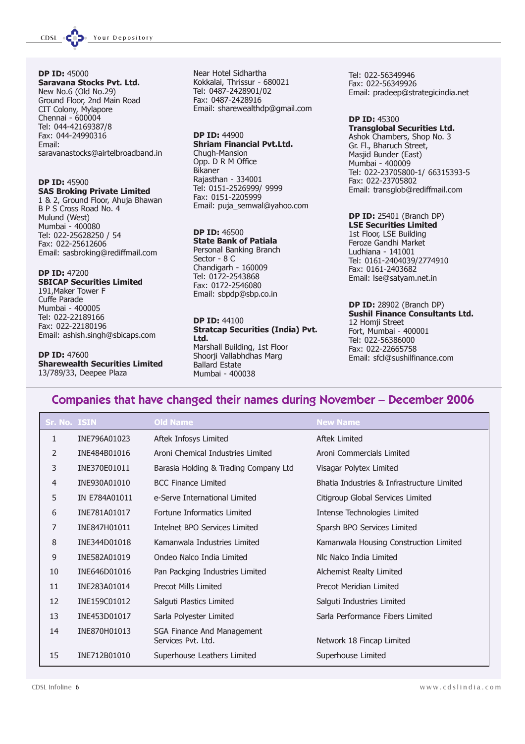CDSL CODE Your Depository

DP ID: 45000 Saravana Stocks Pvt. Ltd. New No.6 (Old No.29) Ground Floor, 2nd Main Road CIT Colony, Mylapore Chennai - 600004 Tel: 044-42169387/8 Fax: 044-24990316 Email: saravanastocks@airtelbroadband.in

#### DP ID: 45900 SAS Broking Private Limited

1 & 2, Ground Floor, Ahuja Bhawan B P S Cross Road No. 4 Mulund (West) Mumbai - 400080 Tel: 022-25628250 / 54 Fax: 022-25612606 Email: sasbroking@rediffmail.com

### DP ID: 47200

#### SBICAP Securities Limited 191,Maker Tower F Cuffe Parade Mumbai - 400005 Tel: 022-22189166 Fax: 022-22180196 Email: ashish.singh@sbicaps.com

DP ID: 47600 Sharewealth Securities Limited 13/789/33, Deepee Plaza

Near Hotel Sidhartha Kokkalai, Thrissur - 680021 Tel: 0487-2428901/02 Fax: 0487-2428916 Email: sharewealthdp@gmail.com

## DP ID: 44900

Shriam Financial Pvt.Ltd. Chugh-Mansion Opp. D R M Office Bikaner Rajasthan - 334001 Tel: 0151-2526999/ 9999 Fax: 0151-2205999 Email: puja\_semwal@yahoo.com

#### DP ID: 46500 State Bank of Patiala Personal Banking Branch Sector - 8 C Chandigarh - 160009 Tel: 0172-2543868 Fax: 0172-2546080 Email: sbpdp@sbp.co.in

#### DP ID: 44100 Stratcap Securities (India) Pvt. Ltd.

Marshall Building, 1st Floor Shoorji Vallabhdhas Marg Ballard Estate Mumbai - 400038

Tel: 022-56349946 Fax: 022-56349926 Email: pradeep@strategicindia.net

#### DP ID: 45300 Transglobal Securities Ltd. Ashok Chambers, Shop No. 3 Gr. Fl., Bharuch Street, Masjid Bunder (East) Mumbai - 400009 Tel: 022-23705800-1/ 66315393-5 Fax: 022-23705802 Email: transglob@rediffmail.com

### DP ID: 25401 (Branch DP)

LSE Securities Limited 1st Floor, LSE Building Feroze Gandhi Market Ludhiana - 141001 Tel: 0161-2404039/2774910 Fax: 0161-2403682 Email: lse@satyam.net.in

DP ID: 28902 (Branch DP) Sushil Finance Consultants Ltd. 12 Homji Street Fort, Mumbai - 400001 Tel: 022-56386000 Fax: 022-22665758 Email: sfcl@sushilfinance.com

## Companies that have changed their names during November – December 2006

| Sr. No. ISIN   |               | <b>Old Name</b>                                  | <b>New Name</b>                            |
|----------------|---------------|--------------------------------------------------|--------------------------------------------|
| 1              | INE796A01023  | Aftek Infosys Limited                            | Aftek Limited                              |
| 2              | INE484B01016  | Aroni Chemical Industries Limited                | Aroni Commercials Limited                  |
| 3              | INE370E01011  | Barasia Holding & Trading Company Ltd            | Visagar Polytex Limited                    |
| $\overline{4}$ | INE930A01010  | <b>BCC Finance Limited</b>                       | Bhatia Industries & Infrastructure Limited |
| 5              | IN E784A01011 | e-Serve International Limited                    | Citigroup Global Services Limited          |
| 6              | INE781A01017  | Fortune Informatics Limited                      | Intense Technologies Limited               |
| 7              | INE847H01011  | Intelnet BPO Services Limited                    | Sparsh BPO Services Limited                |
| 8              | INE344D01018  | Kamanwala Industries Limited                     | Kamanwala Housing Construction Limited     |
| 9              | INE582A01019  | Ondeo Nalco India Limited                        | Nlc Nalco India Limited                    |
| 10             | INE646D01016  | Pan Packging Industries Limited                  | Alchemist Realty Limited                   |
| 11             | INE283A01014  | Precot Mills Limited                             | Precot Meridian Limited                    |
| 12             | INE159C01012  | Salguti Plastics Limited                         | Salguti Industries Limited                 |
| 13             | INE453D01017  | Sarla Polyester Limited                          | Sarla Performance Fibers Limited           |
| 14             | INE870H01013  | SGA Finance And Management<br>Services Pvt. Ltd. | Network 18 Fincap Limited                  |
| 15             | INE712B01010  | Superhouse Leathers Limited                      | Superhouse Limited                         |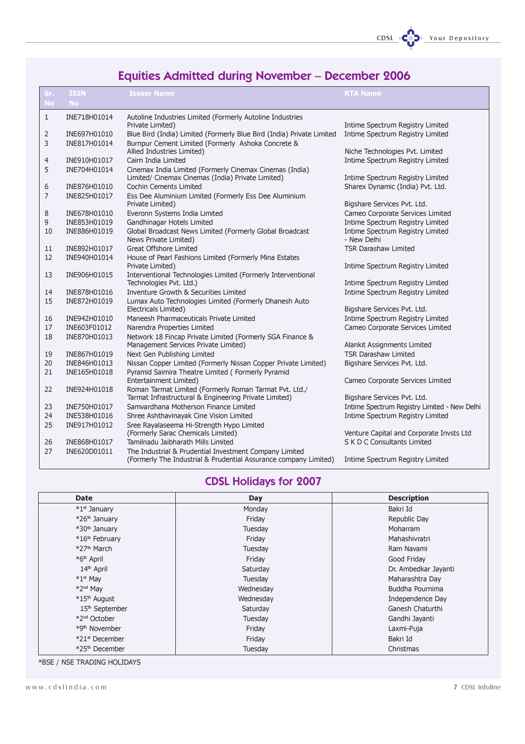

# Equities Admitted during November – December 2006

| Sr.            | <b>ISIN</b>                  | <b>Issuer Name</b>                                                                                                         | <b>RTA Name</b>                                            |
|----------------|------------------------------|----------------------------------------------------------------------------------------------------------------------------|------------------------------------------------------------|
| <b>No</b>      | No                           |                                                                                                                            |                                                            |
| $\mathbf{1}$   | INE718H01014                 | Autoline Industries Limited (Formerly Autoline Industries                                                                  |                                                            |
|                |                              | Private Limited)                                                                                                           | Intime Spectrum Registry Limited                           |
| $\overline{2}$ | INE697H01010                 | Blue Bird (India) Limited (Formerly Blue Bird (India) Private Limited                                                      | Intime Spectrum Registry Limited                           |
| 3              | INE817H01014                 | Burnpur Cement Limited (Formerly Ashoka Concrete &                                                                         |                                                            |
|                |                              | Allied Industries Limited)                                                                                                 | Niche Technologies Pvt. Limited                            |
| $\overline{4}$ | INE910H01017                 | Cairn India Limited                                                                                                        | Intime Spectrum Registry Limited                           |
| 5              | INE704H01014                 | Cinemax India Limited (Formerly Cinemax Cinemas (India)<br>Limited/ Cinemax Cinemas (India) Private Limited)               | Intime Spectrum Registry Limited                           |
| 6              | INE876H01010                 | Cochin Cements Limited                                                                                                     | Sharex Dynamic (India) Pvt. Ltd.                           |
| 7              | INE825H01017                 | Ess Dee Aluminium Limited (Formerly Ess Dee Aluminium<br>Private Limited)                                                  | Bigshare Services Pvt. Ltd.                                |
| 8              | INE678H01010                 | Everonn Systems India Limited                                                                                              | Cameo Corporate Services Limited                           |
| 9              | INE853H01019                 | Gandhinagar Hotels Limited                                                                                                 | Intime Spectrum Registry Limited                           |
| 10             | INE886H01019                 | Global Broadcast News Limited (Formerly Global Broadcast<br>News Private Limited)                                          | Intime Spectrum Registry Limited<br>- New Delhi            |
| 11             | INE892H01017                 | Great Offshore Limited                                                                                                     | <b>TSR Darashaw Limited</b>                                |
| 12             | INE940H01014                 | House of Pearl Fashions Limited (Formerly Mina Estates                                                                     |                                                            |
|                |                              | Private Limited)                                                                                                           | Intime Spectrum Registry Limited                           |
| 13             | INE906H01015                 | Interventional Technologies Limited (Formerly Interventional<br>Technologies Pvt. Ltd.)                                    | Intime Spectrum Registry Limited                           |
| 14             | INE878H01016                 | Inventure Growth & Securities Limited                                                                                      | Intime Spectrum Registry Limited                           |
| 15             | INE872H01019                 | Lumax Auto Technologies Limited (Formerly Dhanesh Auto                                                                     |                                                            |
|                |                              | Electricals Limited)                                                                                                       | Bigshare Services Pvt. Ltd.                                |
| 16             | INE942H01010                 | Maneesh Pharmaceuticals Private Limited                                                                                    | Intime Spectrum Registry Limited                           |
| 17             | INE603F01012                 | Narendra Properties Limited                                                                                                | Cameo Corporate Services Limited                           |
| 18             | INE870H01013                 | Network 18 Fincap Private Limited (Formerly SGA Finance &                                                                  |                                                            |
|                |                              | Management Services Private Limited)                                                                                       | Alankit Assignments Limited<br><b>TSR Darashaw Limited</b> |
| 19<br>20       | INE867H01019<br>INE846H01013 | Next Gen Publishing Limited<br>Nissan Copper Limited (Formerly Nissan Copper Private Limited)                              | Bigshare Services Pvt. Ltd.                                |
| 21             | INE165H01018                 | Pyramid Saimira Theatre Limited (Formerly Pyramid                                                                          |                                                            |
|                |                              | Entertainment Limited)                                                                                                     | Cameo Corporate Services Limited                           |
| 22             | INE924H01018                 | Roman Tarmat Limited (Formerly Roman Tarmat Pvt. Ltd./                                                                     |                                                            |
|                |                              | Tarmat Infrastructural & Engineering Private Limited)                                                                      | Bigshare Services Pvt. Ltd.                                |
| 23             | INE750H01017                 | Samvardhana Motherson Finance Limited                                                                                      | Intime Spectrum Registry Limited - New Delhi               |
| 24             | INE538H01016                 | Shree Ashthavinayak Cine Vision Limited                                                                                    | Intime Spectrum Registry Limited                           |
| 25             | INE917H01012                 | Sree Rayalaseema Hi-Strength Hypo Limited                                                                                  |                                                            |
|                |                              | (Formerly Sarac Chemicals Limited)                                                                                         | Venture Capital and Corporate Invsts Ltd                   |
| 26             | INE868H01017                 | Tamilnadu Jaibharath Mills Limited                                                                                         | S K D C Consultants Limited                                |
| 27             | INE620D01011                 | The Industrial & Prudential Investment Company Limited<br>(Formerly The Industrial & Prudential Assurance company Limited) | Intime Spectrum Registry Limited                           |

## CDSL Holidays for 2007

| <b>Date</b>                | Day       | <b>Description</b>   |
|----------------------------|-----------|----------------------|
| *1st January               | Monday    | Bakri Id             |
| *26 <sup>th</sup> January  | Friday    | Republic Day         |
| *30 <sup>th</sup> January  | Tuesday   | Moharram             |
| *16 <sup>th</sup> February | Friday    | Mahashivratri        |
| *27 <sup>th</sup> March    | Tuesday   | Ram Navami           |
| *6 <sup>th</sup> April     | Friday    | Good Friday          |
| 14 <sup>th</sup> April     | Saturday  | Dr. Ambedkar Jayanti |
| $*1$ st Mav                | Tuesday   | Maharashtra Day      |
| *2 <sup>nd</sup> May       | Wednesday | Buddha Pournima      |
| *15 <sup>th</sup> August   | Wednesday | Independence Day     |
| 15 <sup>th</sup> September | Saturday  | Ganesh Chaturthi     |
| *2 <sup>nd</sup> October   | Tuesday   | Gandhi Jayanti       |
| *9 <sup>th</sup> November  | Friday    | Laxmi-Puja           |
| *21 <sup>st</sup> December | Friday    | Bakri Id             |
| *25 <sup>th</sup> December | Tuesday   | Christmas            |

\*BSE / NSE TRADING HOLIDAYS